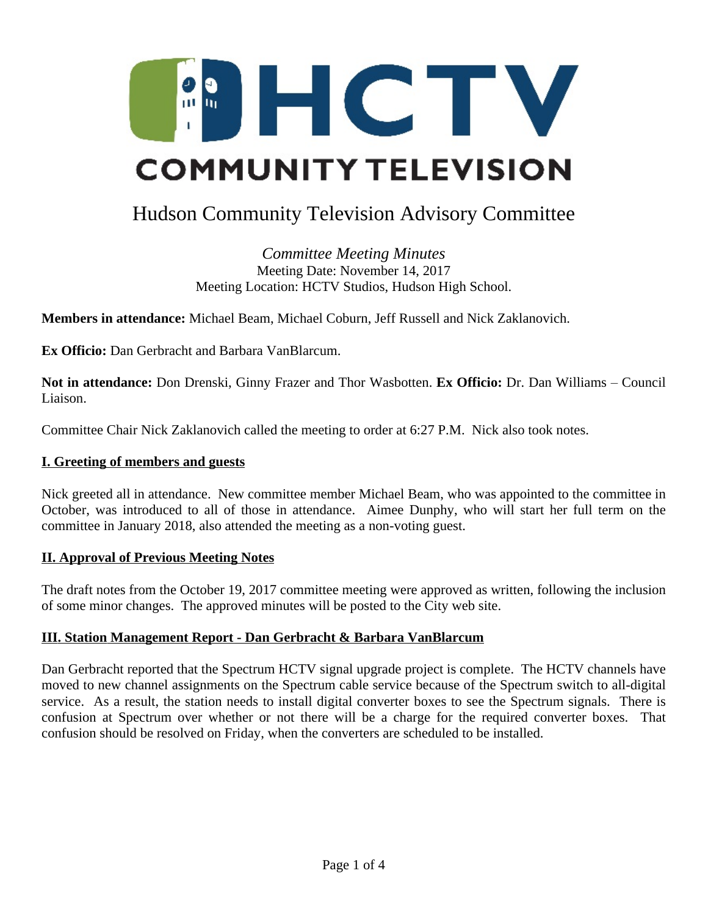

# Hudson Community Television Advisory Committee

*Committee Meeting Minutes* Meeting Date: November 14, 2017 Meeting Location: HCTV Studios, Hudson High School.

**Members in attendance:** Michael Beam, Michael Coburn, Jeff Russell and Nick Zaklanovich.

**Ex Officio:** Dan Gerbracht and Barbara VanBlarcum.

**Not in attendance:** Don Drenski, Ginny Frazer and Thor Wasbotten. **Ex Officio:** Dr. Dan Williams – Council Liaison.

Committee Chair Nick Zaklanovich called the meeting to order at 6:27 P.M. Nick also took notes.

### **I. Greeting of members and guests**

Nick greeted all in attendance. New committee member Michael Beam, who was appointed to the committee in October, was introduced to all of those in attendance. Aimee Dunphy, who will start her full term on the committee in January 2018, also attended the meeting as a non-voting guest.

### **II. Approval of Previous Meeting Notes**

The draft notes from the October 19, 2017 committee meeting were approved as written, following the inclusion of some minor changes. The approved minutes will be posted to the City web site.

### **III. Station Management Report - Dan Gerbracht & Barbara VanBlarcum**

Dan Gerbracht reported that the Spectrum HCTV signal upgrade project is complete. The HCTV channels have moved to new channel assignments on the Spectrum cable service because of the Spectrum switch to all-digital service. As a result, the station needs to install digital converter boxes to see the Spectrum signals. There is confusion at Spectrum over whether or not there will be a charge for the required converter boxes. That confusion should be resolved on Friday, when the converters are scheduled to be installed.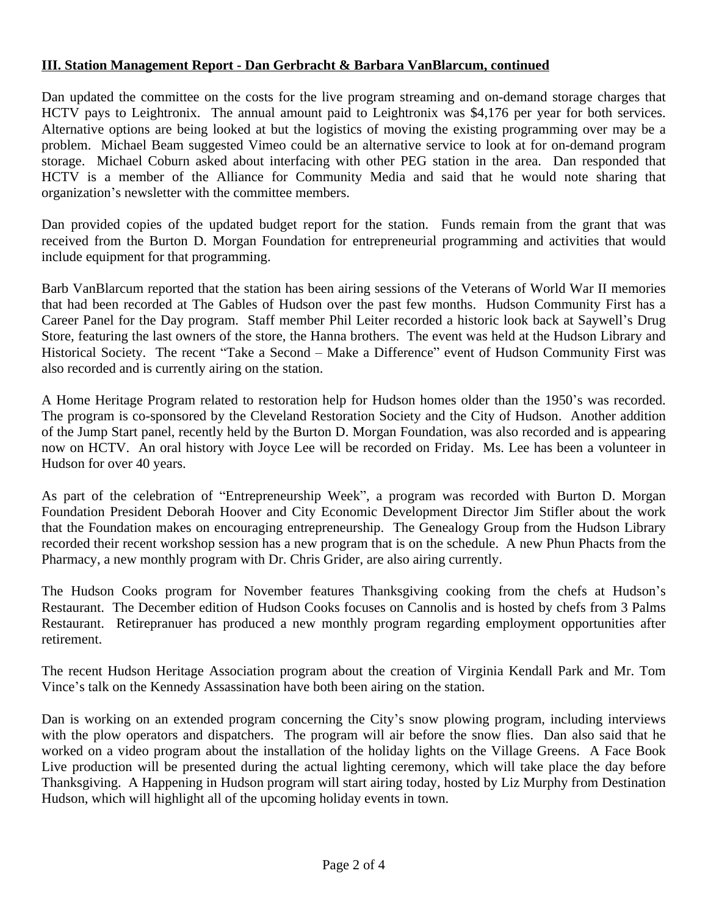# **III. Station Management Report - Dan Gerbracht & Barbara VanBlarcum, continued**

Dan updated the committee on the costs for the live program streaming and on-demand storage charges that HCTV pays to Leightronix. The annual amount paid to Leightronix was \$4,176 per year for both services. Alternative options are being looked at but the logistics of moving the existing programming over may be a problem. Michael Beam suggested Vimeo could be an alternative service to look at for on-demand program storage. Michael Coburn asked about interfacing with other PEG station in the area. Dan responded that HCTV is a member of the Alliance for Community Media and said that he would note sharing that organization's newsletter with the committee members.

Dan provided copies of the updated budget report for the station. Funds remain from the grant that was received from the Burton D. Morgan Foundation for entrepreneurial programming and activities that would include equipment for that programming.

Barb VanBlarcum reported that the station has been airing sessions of the Veterans of World War II memories that had been recorded at The Gables of Hudson over the past few months. Hudson Community First has a Career Panel for the Day program. Staff member Phil Leiter recorded a historic look back at Saywell's Drug Store, featuring the last owners of the store, the Hanna brothers. The event was held at the Hudson Library and Historical Society. The recent "Take a Second – Make a Difference" event of Hudson Community First was also recorded and is currently airing on the station.

A Home Heritage Program related to restoration help for Hudson homes older than the 1950's was recorded. The program is co-sponsored by the Cleveland Restoration Society and the City of Hudson. Another addition of the Jump Start panel, recently held by the Burton D. Morgan Foundation, was also recorded and is appearing now on HCTV. An oral history with Joyce Lee will be recorded on Friday. Ms. Lee has been a volunteer in Hudson for over 40 years.

As part of the celebration of "Entrepreneurship Week", a program was recorded with Burton D. Morgan Foundation President Deborah Hoover and City Economic Development Director Jim Stifler about the work that the Foundation makes on encouraging entrepreneurship. The Genealogy Group from the Hudson Library recorded their recent workshop session has a new program that is on the schedule. A new Phun Phacts from the Pharmacy, a new monthly program with Dr. Chris Grider, are also airing currently.

The Hudson Cooks program for November features Thanksgiving cooking from the chefs at Hudson's Restaurant. The December edition of Hudson Cooks focuses on Cannolis and is hosted by chefs from 3 Palms Restaurant. Retirepranuer has produced a new monthly program regarding employment opportunities after retirement.

The recent Hudson Heritage Association program about the creation of Virginia Kendall Park and Mr. Tom Vince's talk on the Kennedy Assassination have both been airing on the station.

Dan is working on an extended program concerning the City's snow plowing program, including interviews with the plow operators and dispatchers. The program will air before the snow flies. Dan also said that he worked on a video program about the installation of the holiday lights on the Village Greens. A Face Book Live production will be presented during the actual lighting ceremony, which will take place the day before Thanksgiving. A Happening in Hudson program will start airing today, hosted by Liz Murphy from Destination Hudson, which will highlight all of the upcoming holiday events in town.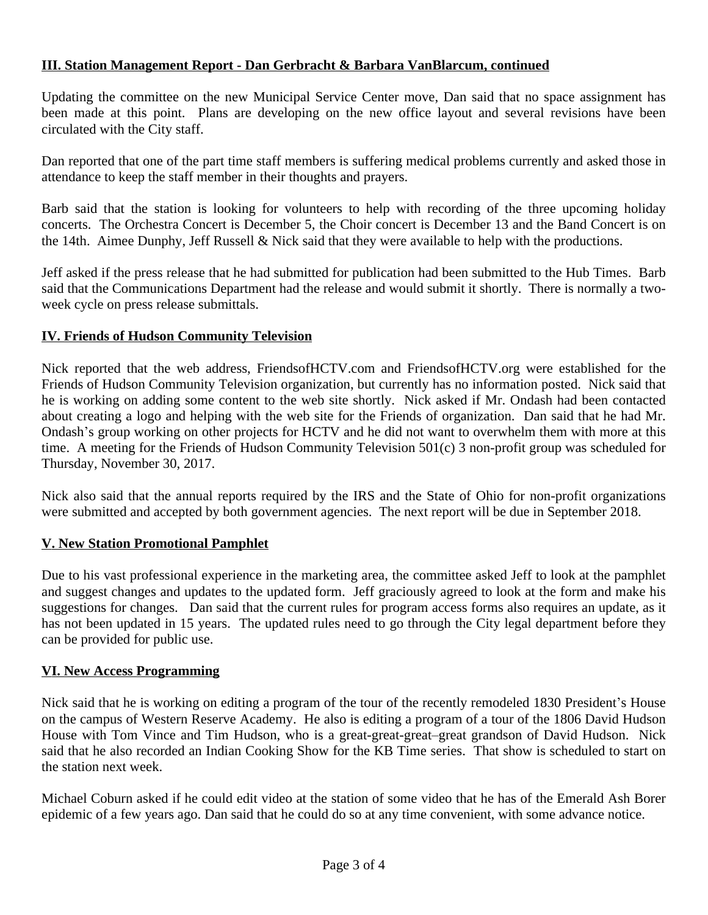# **III. Station Management Report - Dan Gerbracht & Barbara VanBlarcum, continued**

Updating the committee on the new Municipal Service Center move, Dan said that no space assignment has been made at this point. Plans are developing on the new office layout and several revisions have been circulated with the City staff.

Dan reported that one of the part time staff members is suffering medical problems currently and asked those in attendance to keep the staff member in their thoughts and prayers.

Barb said that the station is looking for volunteers to help with recording of the three upcoming holiday concerts. The Orchestra Concert is December 5, the Choir concert is December 13 and the Band Concert is on the 14th. Aimee Dunphy, Jeff Russell & Nick said that they were available to help with the productions.

Jeff asked if the press release that he had submitted for publication had been submitted to the Hub Times. Barb said that the Communications Department had the release and would submit it shortly. There is normally a twoweek cycle on press release submittals.

# **IV. Friends of Hudson Community Television**

Nick reported that the web address, FriendsofHCTV.com and FriendsofHCTV.org were established for the Friends of Hudson Community Television organization, but currently has no information posted. Nick said that he is working on adding some content to the web site shortly. Nick asked if Mr. Ondash had been contacted about creating a logo and helping with the web site for the Friends of organization. Dan said that he had Mr. Ondash's group working on other projects for HCTV and he did not want to overwhelm them with more at this time. A meeting for the Friends of Hudson Community Television 501(c) 3 non-profit group was scheduled for Thursday, November 30, 2017.

Nick also said that the annual reports required by the IRS and the State of Ohio for non-profit organizations were submitted and accepted by both government agencies. The next report will be due in September 2018.

# **V. New Station Promotional Pamphlet**

Due to his vast professional experience in the marketing area, the committee asked Jeff to look at the pamphlet and suggest changes and updates to the updated form. Jeff graciously agreed to look at the form and make his suggestions for changes. Dan said that the current rules for program access forms also requires an update, as it has not been updated in 15 years. The updated rules need to go through the City legal department before they can be provided for public use.

# **VI. New Access Programming**

Nick said that he is working on editing a program of the tour of the recently remodeled 1830 President's House on the campus of Western Reserve Academy. He also is editing a program of a tour of the 1806 David Hudson House with Tom Vince and Tim Hudson, who is a great-great-great–great grandson of David Hudson. Nick said that he also recorded an Indian Cooking Show for the KB Time series. That show is scheduled to start on the station next week.

Michael Coburn asked if he could edit video at the station of some video that he has of the Emerald Ash Borer epidemic of a few years ago. Dan said that he could do so at any time convenient, with some advance notice.